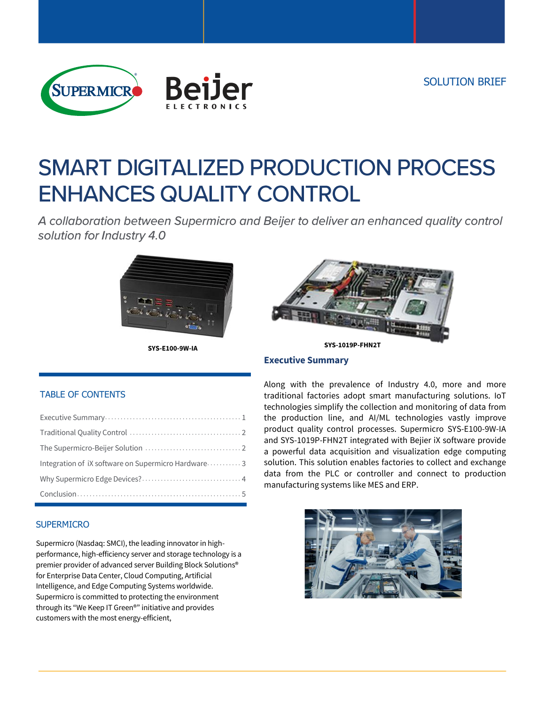



# **SMART DIGITALIZED PRODUCTION PROCESS ENHANCES QUALITY CONTROL**

A collaboration between Supermicro and Beijer to deliver an enhanced quality control solution for Industry 4.0





# **Executive Summary**

#### TABLE OF CONTENTS

| Integration of iX software on Supermicro Hardware3 |
|----------------------------------------------------|
|                                                    |
|                                                    |

#### **SUPERMICRO**

Supermicro (Nasdaq: SMCI), the leading innovator in highperformance, high-efficiency server and storage technology is a premier provider of advanced server Building Block Solutions® for Enterprise Data Center, Cloud Computing, Artificial Intelligence, and Edge Computing Systems worldwide. Supermicro is committed to protecting the environment through its "We Keep IT Green®" initiative and provides customers with the most energy-efficient,

Along with the prevalence of Industry 4.0, more and more traditional factories adopt smart manufacturing solutions. IoT technologies simplify the collection and monitoring of data from the production line, and AI/ML technologies vastly improve product quality control processes. Supermicro SYS-E100-9W-IA and SYS-1019P-FHN2T integrated with Bejier iX software provide a powerful data acquisition and visualization edge computing solution. This solution enables factories to collect and exchange data from the PLC or controller and connect to production manufacturing systems like MES and ERP.

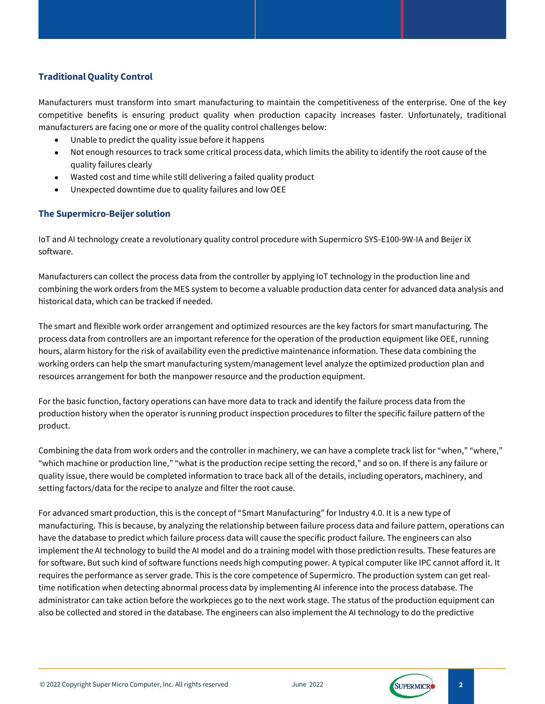## **Traditional Quality Control**

Manufacturers must transform into smart manufacturing to maintain the competitiveness of the enterprise. One of the key competitive benefits is ensuring product quality when production capacity increases faster. Unfortunately, traditional manufacturers are facing one or more of the quality control challenges below:

- Unable to predict the quality issue before it happens
- Not enough resources to track some critical process data, which limits the ability to identify the root cause of the quality failures clearly
- Wasted cost and time while still delivering a failed quality product
- Unexpected downtime due to quality failures and low OEE

### **The Supermicro-Beijer solution**

IoT and AI technology create a revolutionary quality control procedure with Supermicro SYS-E100-9W-IA and Beijer iX software.

Manufacturers can collect the process data from the controller by applying IoT technology in the production line and combining the work orders from the MES system to become a valuable production data center for advanced data analysis and historical data, which can be tracked if needed.

The smart and flexible work order arrangement and optimized resources are the key factors for smart manufacturing. The process data from controllers are an important reference for the operation of the production equipment like OEE, running hours, alarm history for the risk of availability even the predictive maintenance information. These data combining the working orders can help the smart manufacturing system/management level analyze the optimized production plan and resources arrangement for both the manpower resource and the production equipment.

For the basic function, factory operations can have more data to track and identify the failure process data from the production history when the operator is running product inspection procedures to filter the specific failure pattern of the product.

Combining the data from work orders and the controller in machinery, we can have a complete track list for "when," "where," "which machine or production line," "what is the production recipe setting the record," and so on. If there is any failure or quality issue, there would be completed information to trace back all of the details, including operators, machinery, and setting factors/data for the recipe to analyze and filter the root cause.

For advanced smart production, this is the concept of "Smart Manufacturing" for Industry 4.0. It is a new type of manufacturing. This is because, by analyzing the relationship between failure process data and failure pattern, operations can have the database to predict which failure process data will cause the specific product failure. The engineers can also implement the AI technology to build the AI model and do a training model with those prediction results. These features are for software. But such kind of software functions needs high computing power. A typical computer like IPC cannot afford it. It requires the performance as server grade. This is the core competence of Supermicro. The production system can get realtime notification when detecting abnormal process data by implementing AI inference into the process database. The administrator can take action before the workpieces go to the next work stage. The status of the production equipment can also be collected and stored in the database. The engineers can also implement the AI technology to do the predictive

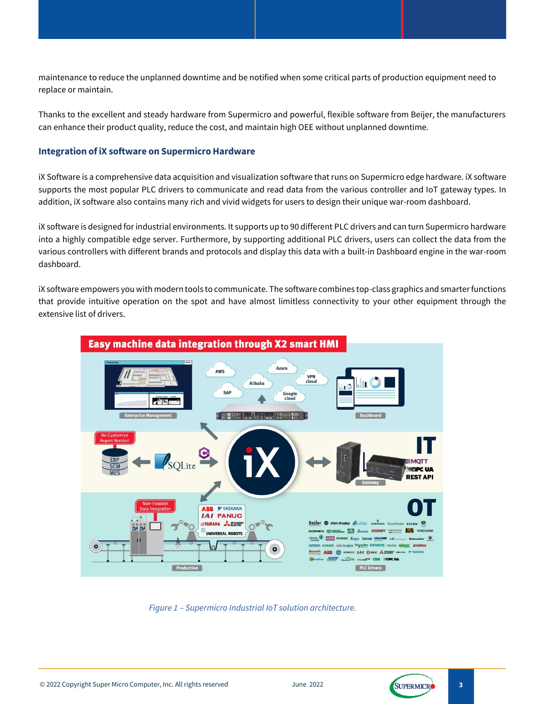maintenance to reduce the unplanned downtime and be notified when some critical parts of production equipment need to replace or maintain.

Thanks to the excellent and steady hardware from Supermicro and powerful, flexible software from Beijer, the manufacturers can enhance their product quality, reduce the cost, and maintain high OEE without unplanned downtime.

#### **Integration of iX software on Supermicro Hardware**

iX Software is a comprehensive data acquisition and visualization software that runs on Supermicro edge hardware. iX software supports the most popular PLC drivers to communicate and read data from the various controller and IoT gateway types. In addition, iX software also contains many rich and vivid widgets for users to design their unique war-room dashboard.

iX software is designed for industrial environments. It supports up to 90 different PLC drivers and can turn Supermicro hardware into a highly compatible edge server. Furthermore, by supporting additional PLC drivers, users can collect the data from the various controllers with different brands and protocols and display this data with a built-in Dashboard engine in the war-room dashboard.

iX software empowers you with modern tools to communicate. The software combines top-class graphics and smarter functions that provide intuitive operation on the spot and have almost limitless connectivity to your other equipment through the extensive list of drivers.



*Figure 1 – Supermicro Industrial IoT solution architecture.*

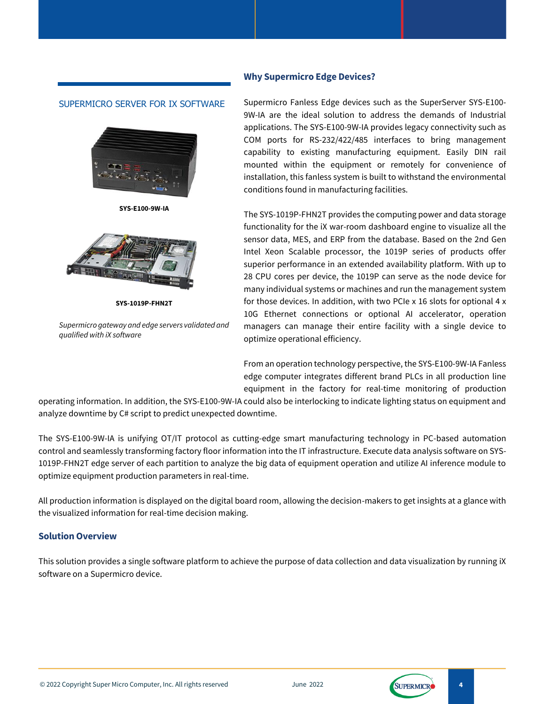#### **Why Supermicro Edge Devices?**

#### SUPERMICRO SERVER FOR IX SOFTWARE



**SYS-E100-9W-IA**



**SYS-1019P-FHN2T**

*Supermicro gateway and edge servers validated and qualified with iX software*

Supermicro Fanless Edge devices such as the SuperServer SYS-E100- 9W-IA are the ideal solution to address the demands of Industrial applications. The SYS-E100-9W-IA provides legacy connectivity such as COM ports for RS-232/422/485 interfaces to bring management capability to existing manufacturing equipment. Easily DIN rail mounted within the equipment or remotely for convenience of installation, this fanless system is built to withstand the environmental conditions found in manufacturing facilities.

The SYS-1019P-FHN2T provides the computing power and data storage functionality for the iX war-room dashboard engine to visualize all the sensor data, MES, and ERP from the database. Based on the 2nd Gen Intel Xeon Scalable processor, the 1019P series of products offer superior performance in an extended availability platform. With up to 28 CPU cores per device, the 1019P can serve as the node device for many individual systems or machines and run the management system for those devices. In addition, with two PCIe x 16 slots for optional 4 x 10G Ethernet connections or optional AI accelerator, operation managers can manage their entire facility with a single device to optimize operational efficiency.

From an operation technology perspective, the SYS-E100-9W-IA Fanless edge computer integrates different brand PLCs in all production line equipment in the factory for real-time monitoring of production

operating information. In addition, the SYS-E100-9W-IA could also be interlocking to indicate lighting status on equipment and analyze downtime by C# script to predict unexpected downtime.

The SYS-E100-9W-IA is unifying OT/IT protocol as cutting-edge smart manufacturing technology in PC-based automation control and seamlessly transforming factory floor information into the IT infrastructure. Execute data analysis software on SYS-1019P-FHN2T edge server of each partition to analyze the big data of equipment operation and utilize AI inference module to optimize equipment production parameters in real-time.

All production information is displayed on the digital board room, allowing the decision-makers to get insights at a glance with the visualized information for real-time decision making.

#### **Solution Overview**

This solution provides a single software platform to achieve the purpose of data collection and data visualization by running iX software on a Supermicro device.